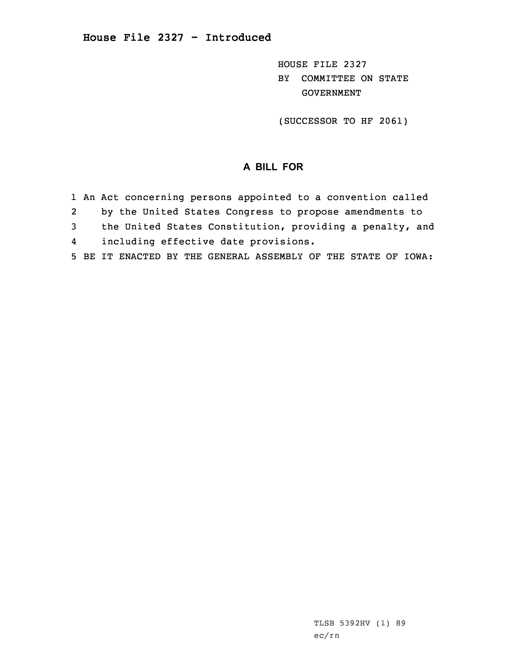HOUSE FILE 2327 BY COMMITTEE ON STATE GOVERNMENT

(SUCCESSOR TO HF 2061)

## **A BILL FOR**

- 1 An Act concerning persons appointed to <sup>a</sup> convention called
- 2by the United States Congress to propose amendments to
- 3 the United States Constitution, providing <sup>a</sup> penalty, and
- 4including effective date provisions.
- 5 BE IT ENACTED BY THE GENERAL ASSEMBLY OF THE STATE OF IOWA: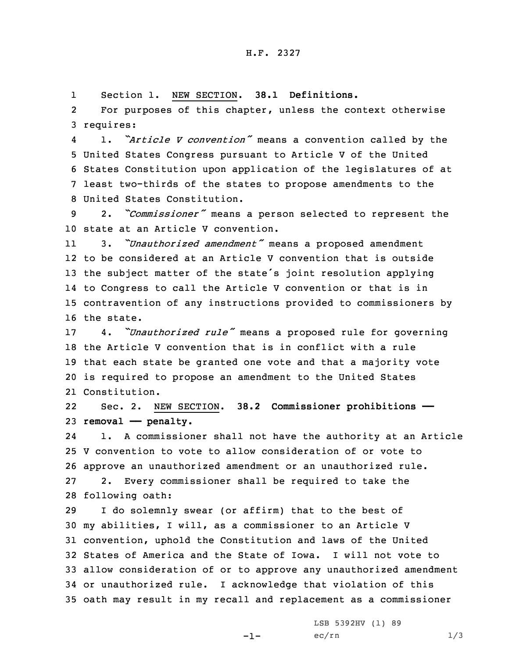1Section 1. NEW SECTION. **38.1 Definitions.**

2 For purposes of this chapter, unless the context otherwise 3 requires:

4 1. *"Article <sup>V</sup> convention"* means <sup>a</sup> convention called by the United States Congress pursuant to Article <sup>V</sup> of the United States Constitution upon application of the legislatures of at least two-thirds of the states to propose amendments to the United States Constitution.

<sup>9</sup> 2. *"Commissioner"* means <sup>a</sup> person selected to represent the 10 state at an Article V convention.

11 3. *"Unauthorized amendment"* means <sup>a</sup> proposed amendment to be considered at an Article V convention that is outside the subject matter of the state's joint resolution applying to Congress to call the Article <sup>V</sup> convention or that is in contravention of any instructions provided to commissioners by the state.

 4. *"Unauthorized rule"* means <sup>a</sup> proposed rule for governing the Article V convention that is in conflict with <sup>a</sup> rule that each state be granted one vote and that <sup>a</sup> majority vote is required to propose an amendment to the United States Constitution.

22 Sec. 2. NEW SECTION. **38.2 Commissioner prohibitions ——** 23 **removal —— penalty.**

24 1. <sup>A</sup> commissioner shall not have the authority at an Article V convention to vote to allow consideration of or vote to approve an unauthorized amendment or an unauthorized rule. 2. Every commissioner shall be required to take the following oath:

 <sup>I</sup> do solemnly swear (or affirm) that to the best of my abilities, <sup>I</sup> will, as <sup>a</sup> commissioner to an Article <sup>V</sup> convention, uphold the Constitution and laws of the United States of America and the State of Iowa. I will not vote to allow consideration of or to approve any unauthorized amendment or unauthorized rule. <sup>I</sup> acknowledge that violation of this oath may result in my recall and replacement as <sup>a</sup> commissioner

 $-1-$ 

LSB 5392HV (1) 89  $ec/rn$   $1/3$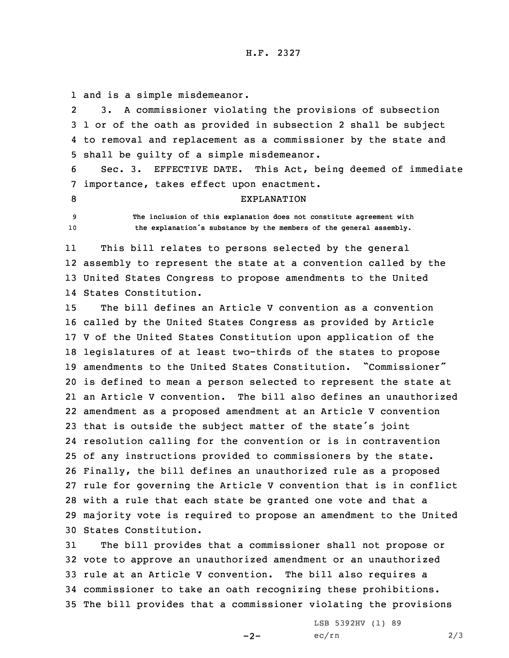1 and is <sup>a</sup> simple misdemeanor.

2 3. <sup>A</sup> commissioner violating the provisions of subsection 3 1 or of the oath as provided in subsection 2 shall be subject 4 to removal and replacement as <sup>a</sup> commissioner by the state and 5 shall be guilty of <sup>a</sup> simple misdemeanor.

6 Sec. 3. EFFECTIVE DATE. This Act, being deemed of immediate 7 importance, takes effect upon enactment.

## 8 EXPLANATION

9 **The inclusion of this explanation does not constitute agreement with** <sup>10</sup> **the explanation's substance by the members of the general assembly.**

11 This bill relates to persons selected by the general 12 assembly to represent the state at <sup>a</sup> convention called by the 13 United States Congress to propose amendments to the United 14 States Constitution.

 The bill defines an Article V convention as <sup>a</sup> convention called by the United States Congress as provided by Article <sup>V</sup> of the United States Constitution upon application of the legislatures of at least two-thirds of the states to propose amendments to the United States Constitution. "Commissioner" is defined to mean <sup>a</sup> person selected to represent the state at an Article V convention. The bill also defines an unauthorized amendment as <sup>a</sup> proposed amendment at an Article <sup>V</sup> convention that is outside the subject matter of the state's joint resolution calling for the convention or is in contravention of any instructions provided to commissioners by the state. Finally, the bill defines an unauthorized rule as <sup>a</sup> proposed rule for governing the Article <sup>V</sup> convention that is in conflict with <sup>a</sup> rule that each state be granted one vote and that <sup>a</sup> majority vote is required to propose an amendment to the United States Constitution.

 The bill provides that <sup>a</sup> commissioner shall not propose or vote to approve an unauthorized amendment or an unauthorized rule at an Article <sup>V</sup> convention. The bill also requires <sup>a</sup> commissioner to take an oath recognizing these prohibitions. The bill provides that <sup>a</sup> commissioner violating the provisions

 $-2-$ 

LSB 5392HV (1) 89  $ec/rn$  2/3